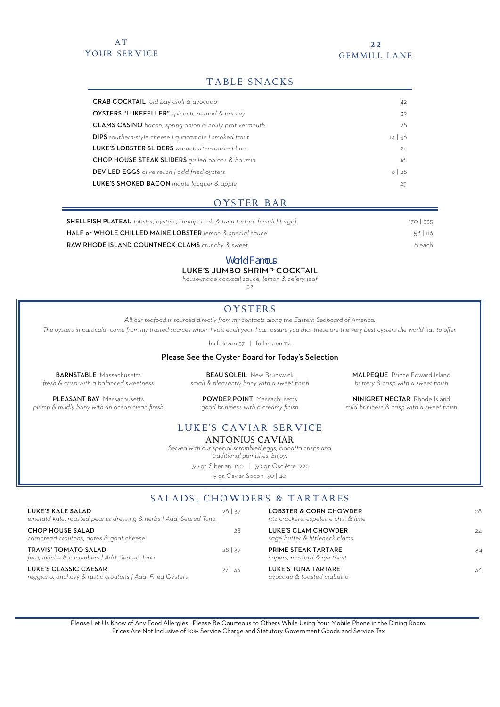# A T YOUR SERVICE

#### 2 2 GEMMILL LANE

MALPEQUE Prince Edward Island *buttery & crisp with a sweet finish* NINIGRET NECTAR Rhode Island *mild brininess & crisp with a sweet finish*

# TABLE SNACKS

| <b>CRAB COCKTAIL</b> old bay aioli & avocado                   | 42           |
|----------------------------------------------------------------|--------------|
| OYSTERS "LUKEFELLER" spinach, pernod & parsley                 | 32           |
| <b>CLAMS CASINO</b> bacon, spring onion & noilly prat vermouth | 28           |
| <b>DIPS</b> southern-style cheese   quacamole   smoked trout   | $14 \mid 36$ |
| LUKE'S LOBSTER SLIDERS warm butter-toasted bun                 | 24           |
| <b>CHOP HOUSE STEAK SLIDERS</b> grilled onions & boursin       | 18           |
| <b>DEVILED EGGS</b> olive relish I add fried oysters           | 6128         |
| LUKE'S SMOKED BACON maple lacquer & apple                      | 25           |
|                                                                |              |

## OYSTER BAR

| <b>SHELLFISH PLATEAU</b> lobster, oysters, shrimp, crab & tuna tartare [small   large] | 170 335  |
|----------------------------------------------------------------------------------------|----------|
| HALF or WHOLE CHILLED MAINE LOBSTER lemon & special sauce                              | 58   116 |
| RAW RHODE ISLAND COUNTNECK CLAMS crunchy & sweet                                       | 8 each   |

## World Famous

LUKE'S JUMBO SHRIMP COCKTAIL

*house-made cocktail sauce, lemon & celery leaf*

 $52$ 

# **OYSTERS**

*All our seafood is sourced directly from my contacts along the Eastern Seaboard of America.* 

*The oysters in particular come from my trusted sources whom I visit each year. I can assure you that these are the very best oysters the world has to offer.*

half dozen 57 | full dozen 114

#### Please See the Oyster Board for Today's Selection

BARNSTABLE Massachusetts *fresh & crisp with a balanced sweetness*

PLEASANT BAY Massachusetts *plump & mildly briny with an ocean clean finish*

**BEAU SOLEIL** New Brunswick *small & pleasantly briny with a sweet finish*

POWDER POINT Massachusetts *good brininess with a creamy finish*

# LUKE'S CAVIAR SERVICE

ANTONIUS CAVIAR

*Served with our special scrambled eggs, ciabatta crisps and traditional garnishes. Enjoy!* 

30 gr. Siberian 160 | 30 gr. Osciètre 220 5 gr. Caviar Spoon 30 | 40

# SALADS, CHOWDERS & TARTARES

| LUKE'S KALE SALAD<br>emerald kale, roasted peanut dressing & herbs   Add: Seared Tuna | $28 \mid 37$ | <b>LOBSTER &amp; CORN CHOWDER</b><br>ritz crackers, espelette chili & lime | 28 |
|---------------------------------------------------------------------------------------|--------------|----------------------------------------------------------------------------|----|
| <b>CHOP HOUSE SALAD</b><br>cornbread croutons, dates & goat cheese                    | 28           | LUKE'S CLAM CHOWDER<br>sage butter & littleneck clams                      | 24 |
| <b>TRAVIS' TOMATO SALAD</b><br>feta, mâche & cucumbers   Add: Seared Tuna             | $28 \mid 37$ | PRIME STEAK TARTARE<br>capers, mustard & rye toast                         | 34 |
| LUKE'S CLASSIC CAESAR<br>reggiano, anchovy & rustic croutons   Add: Fried Oysters     | $27 \mid 33$ | <b>LUKE'S TUNA TARTARE</b><br>avocado & toasted ciabatta                   | 34 |

Please Let Us Know of Any Food Allergies. Please Be Courteous to Others While Using Your Mobile Phone in the Dining Room. Prices Are Not Inclusive of 10% Service Charge and Statutory Government Goods and Service Tax